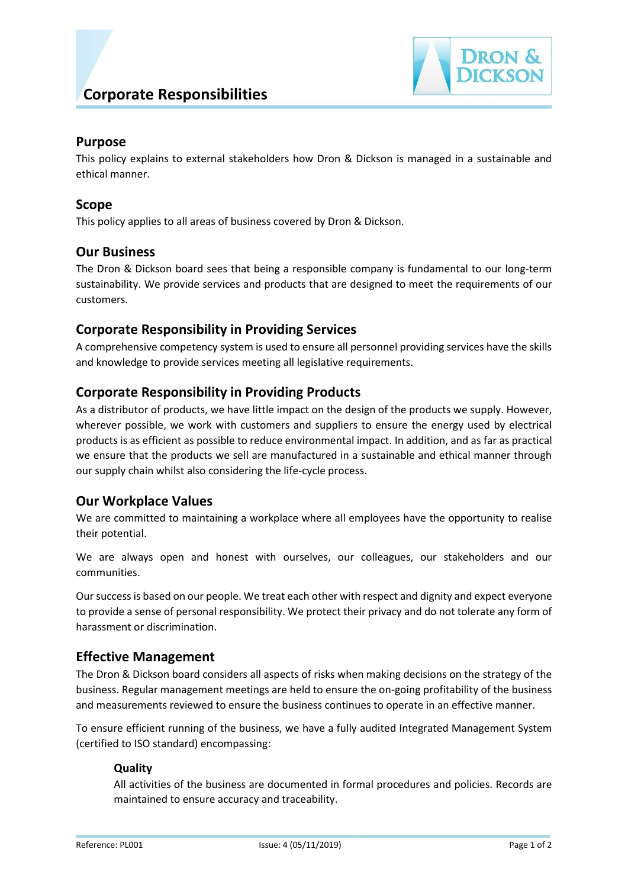

# **Purpose**

This policy explains to external stakeholders how Dron & Dickson is managed in a sustainable and ethical manner.

## **Scope**

This policy applies to all areas of business covered by Dron & Dickson.

## **Our Business**

The Dron & Dickson board sees that being a responsible company is fundamental to our long-term sustainability. We provide services and products that are designed to meet the requirements of our customers.

## **Corporate Responsibility in Providing Services**

A comprehensive competency system is used to ensure all personnel providing services have the skills and knowledge to provide services meeting all legislative requirements.

## **Corporate Responsibility in Providing Products**

As a distributor of products, we have little impact on the design of the products we supply. However, wherever possible, we work with customers and suppliers to ensure the energy used by electrical products is as efficient as possible to reduce environmental impact. In addition, and as far as practical we ensure that the products we sell are manufactured in a sustainable and ethical manner through our supply chain whilst also considering the life-cycle process.

## **Our Workplace Values**

We are committed to maintaining a workplace where all employees have the opportunity to realise their potential.

We are always open and honest with ourselves, our colleagues, our stakeholders and our communities.

Our success is based on our people. We treat each other with respect and dignity and expect everyone to provide a sense of personal responsibility. We protect their privacy and do not tolerate any form of harassment or discrimination.

## **Effective Management**

The Dron & Dickson board considers all aspects of risks when making decisions on the strategy of the business. Regular management meetings are held to ensure the on-going profitability of the business and measurements reviewed to ensure the business continues to operate in an effective manner.

To ensure efficient running of the business, we have a fully audited Integrated Management System (certified to ISO standard) encompassing:

### **Quality**

All activities of the business are documented in formal procedures and policies. Records are maintained to ensure accuracy and traceability.